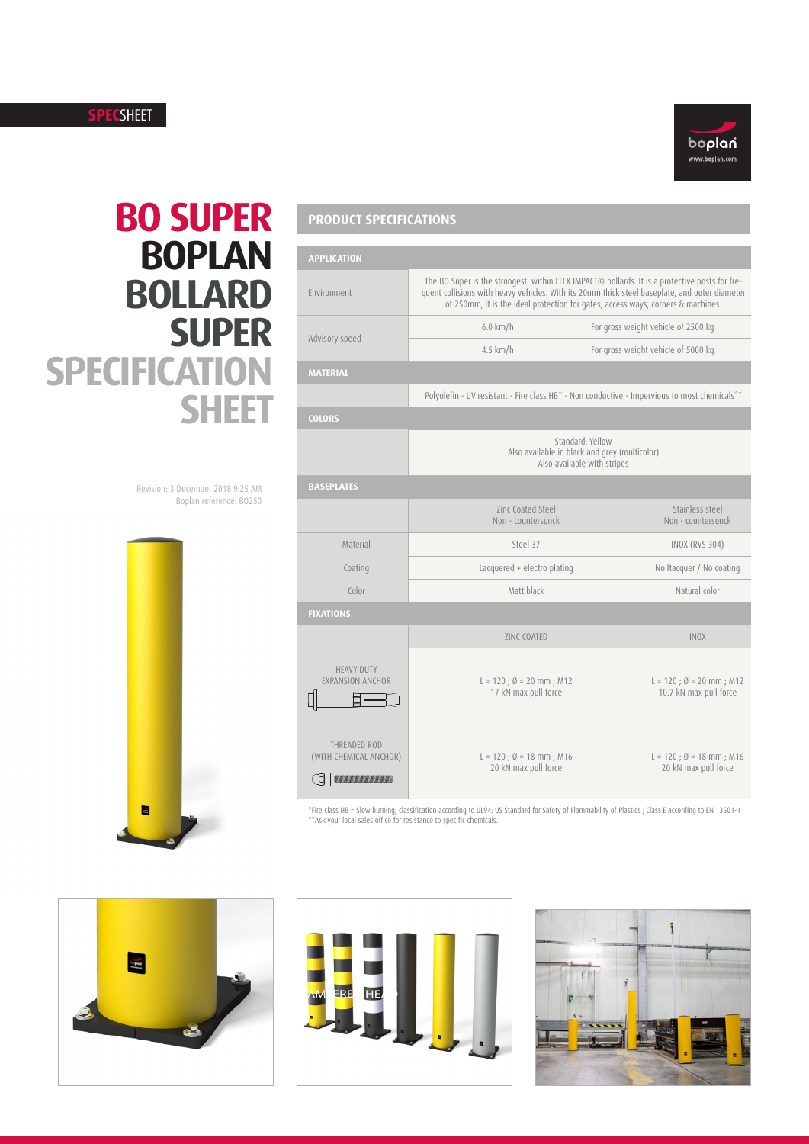### **SPEC**SHEET



# **BO SUPER BOPLAN BOLLARD SUPER SPECIFICATION SHEET**

Revision: 3 December 2018 9:25 AM Boplan reference: BO250



# **PRODUCT SPECIFICATIONS**

| <b>APPLICATION</b>                                                    |                                                                                                                                                                                                                                                                                    |                                                                |  |  |
|-----------------------------------------------------------------------|------------------------------------------------------------------------------------------------------------------------------------------------------------------------------------------------------------------------------------------------------------------------------------|----------------------------------------------------------------|--|--|
| Environment                                                           | The BO Super is the strongest within FLEX IMPACT® bollards. It is a protective posts for fre-<br>quent collisions with heavy vehicles. With its 20mm thick steel baseplate, and outer diameter<br>of 250mm, it is the ideal protection for gates, access ways, corners & machines. |                                                                |  |  |
|                                                                       | $6.0 \text{ km/h}$                                                                                                                                                                                                                                                                 | For gross weight vehicle of 2500 kg                            |  |  |
| Advisory speed                                                        | $4.5$ km/h                                                                                                                                                                                                                                                                         | For gross weight vehicle of 5000 kg                            |  |  |
| <b>MATERIAL</b>                                                       |                                                                                                                                                                                                                                                                                    |                                                                |  |  |
|                                                                       | Polyolefin - UV resistant - Fire class HB* - Non conductive - Impervious to most chemicals**                                                                                                                                                                                       |                                                                |  |  |
| <b>COLORS</b>                                                         |                                                                                                                                                                                                                                                                                    |                                                                |  |  |
|                                                                       | Standard: Yellow<br>Also available in black and grey (multicolor)<br>Also available with stripes                                                                                                                                                                                   |                                                                |  |  |
| <b>BASEPLATES</b>                                                     |                                                                                                                                                                                                                                                                                    |                                                                |  |  |
|                                                                       | Zinc Coated Steel<br>Non - countersunck                                                                                                                                                                                                                                            | Stainless steel<br>Non - countersunck                          |  |  |
| Material                                                              | Steel 37                                                                                                                                                                                                                                                                           | <b>INOX (RVS 304)</b>                                          |  |  |
| Coating                                                               | Lacquered + electro plating                                                                                                                                                                                                                                                        | No Itacquer / No coating                                       |  |  |
| Color                                                                 | Matt black                                                                                                                                                                                                                                                                         | Natural color                                                  |  |  |
| <b>FIXATIONS</b>                                                      |                                                                                                                                                                                                                                                                                    |                                                                |  |  |
|                                                                       | <b>ZINC COATED</b>                                                                                                                                                                                                                                                                 | <b>INOX</b>                                                    |  |  |
| <b>HEAVY DUTY</b><br><b>EXPANSION ANCHOR</b>                          | $L = 120$ ; $\emptyset = 20$ mm; M12<br>17 kN max pull force                                                                                                                                                                                                                       | $L = 120$ ; $\emptyset = 20$ mm; M12<br>10.7 kN max pull force |  |  |
| THREADED ROD<br>(WITH CHEMICAL ANCHOR)<br>$\bigoplus$ and $\bigoplus$ | $L = 120$ ; $\emptyset = 18$ mm; M16<br>20 kN max pull force                                                                                                                                                                                                                       | $L = 120$ ; $\emptyset = 18$ mm; M16<br>20 kN max pull force   |  |  |

"Fire class HB = Slow burning; classification according to UL94: US Standard for Safety of Flammability of Plastics ; Class E according to EN 13501-1<br>\*\*Ask your local sales office for resistance to specific chemicals. ification according to UL THIS DOCUMENT IS THE PROPERTY OF BOPLAN. USE IS AUTHORIZED ONLY FOR THE RESPONDING TO <sup>A</sup> REQUEST FOR QOUTATIONORFORTHE PERFORMANCE OFWORKFOR BOPLAN.**MOREDOCUMENTS AT BOPLAN.COM** SHEET: 1 projection 1 : 1 Old Ref: **XFI01/102** Ref : **FI0055-0M12-0020** Creator : **dries** E





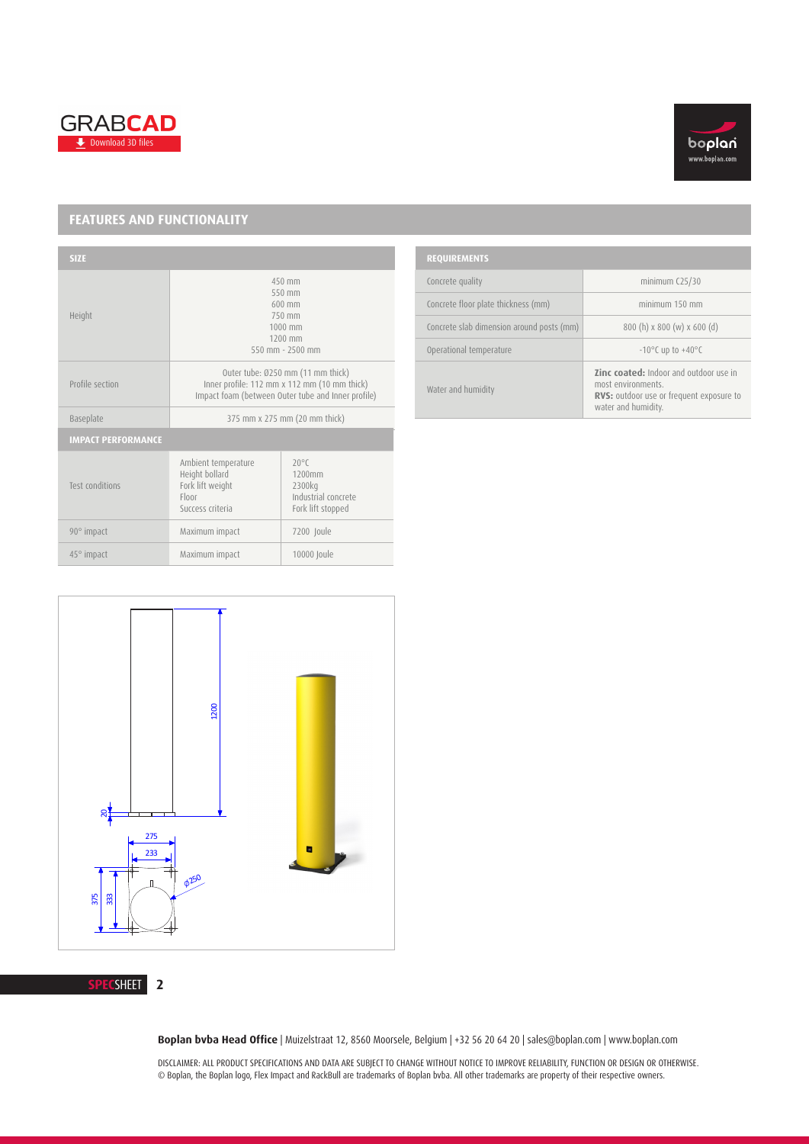



## **FEATURES AND FUNCTIONALITY**

| <b>SIZE</b>               |                                                                                                                                         |                                                                                |  |
|---------------------------|-----------------------------------------------------------------------------------------------------------------------------------------|--------------------------------------------------------------------------------|--|
| Height                    | 450 mm<br>550 mm<br>$600$ mm<br>750 mm<br>1000 mm<br>1200 mm<br>550 mm $-2500$ mm                                                       |                                                                                |  |
| Profile section           | Outer tube: Ø250 mm (11 mm thick)<br>Inner profile: 112 mm x 112 mm (10 mm thick)<br>Impact foam (between Outer tube and Inner profile) |                                                                                |  |
| Baseplate                 | 375 mm x 275 mm (20 mm thick)                                                                                                           |                                                                                |  |
| <b>IMPACT PERFORMANCE</b> |                                                                                                                                         |                                                                                |  |
| Test conditions           | Ambient temperature<br>Height bollard<br>Fork lift weight<br>Floor<br>Success criteria                                                  | $20^{\circ}$ C<br>1200mm<br>2300kg<br>Industrial concrete<br>Fork lift stopped |  |
| 90° impact                | Maximum impact                                                                                                                          | 7200 Joule                                                                     |  |
| $45^{\circ}$ impact       | Maximum impact                                                                                                                          | 10000 Joule                                                                    |  |

| <b>REQUIREMENTS</b>                       |                                                                                                                                        |  |  |  |
|-------------------------------------------|----------------------------------------------------------------------------------------------------------------------------------------|--|--|--|
| Concrete quality                          | minimum $C25/30$                                                                                                                       |  |  |  |
| Concrete floor plate thickness (mm)       | minimum 150 mm                                                                                                                         |  |  |  |
| Concrete slab dimension around posts (mm) | $800(h) \times 800 (w) \times 600 (d)$                                                                                                 |  |  |  |
| Operational temperature                   | $-10^{\circ}$ C up to $+40^{\circ}$ C                                                                                                  |  |  |  |
| Water and humidity                        | <b>Zinc coated:</b> Indoor and outdoor use in<br>most environments.<br>RVS: outdoor use or frequent exposure to<br>water and humidity. |  |  |  |



#### **SPEC**SHEET **2**

**Boplan bvba Head Office** | Muizelstraat 12, 8560 Moorsele, Belgium | +32 56 20 64 20 | sales@boplan.com | www.boplan.com

DISCLAIMER: ALL PRODUCT SPECIFICATIONS AND DATA ARE SUBJECT TO CHANGE WITHOUT NOTICE TO IMPROVE RELIABILITY, FUNCTION OR DESIGN OR OTHERWISE. © Boplan, the Boplan logo, Flex Impact and RackBull are trademarks of Boplan bvba. All other trademarks are property of their respective owners.